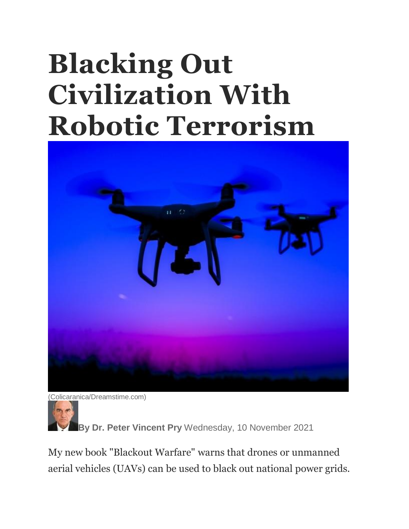## **Blacking Out Civilization With Robotic Terrorism**



(Colicaranica/Dreamstime.com)

**By Dr. Peter Vincent Pry** Wednesday, 10 November 2021

My new book "Blackout Warfare" warns that drones or unmanned aerial vehicles (UAVs) can be used to black out national power grids.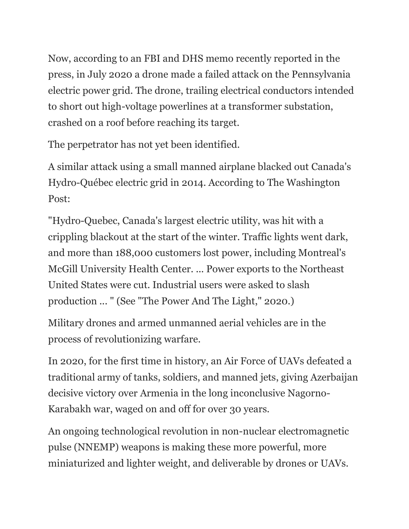Now, according to an FBI and DHS memo recently reported in the press, in July 2020 a drone made a failed attack on the Pennsylvania electric power grid. The drone, trailing electrical conductors intended to short out high-voltage powerlines at a transformer substation, crashed on a roof before reaching its target.

The perpetrator has not yet been identified.

A similar attack using a small manned airplane blacked out Canada's Hydro-Québec electric grid in 2014. According to The Washington Post:

"Hydro-Quebec, Canada's largest electric utility, was hit with a crippling blackout at the start of the winter. Traffic lights went dark, and more than 188,000 customers lost power, including Montreal's McGill University Health Center. ... Power exports to the Northeast United States were cut. Industrial users were asked to slash production ... " (See "The Power And The Light," 2020.)

Military drones and armed unmanned aerial vehicles are in the process of revolutionizing warfare.

In 2020, for the first time in history, an Air Force of UAVs defeated a traditional army of tanks, soldiers, and manned jets, giving Azerbaijan decisive victory over Armenia in the long inconclusive Nagorno-Karabakh war, waged on and off for over 30 years.

An ongoing technological revolution in non-nuclear electromagnetic pulse (NNEMP) weapons is making these more powerful, more miniaturized and lighter weight, and deliverable by drones or UAVs.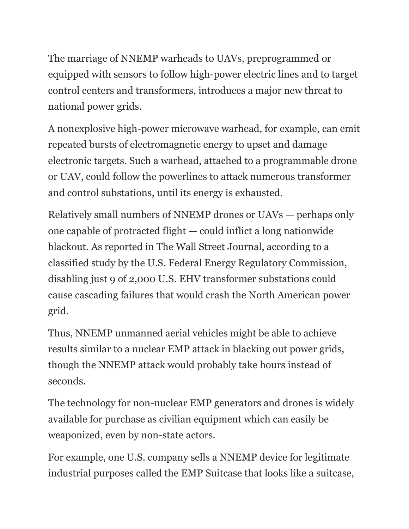The marriage of NNEMP warheads to UAVs, preprogrammed or equipped with sensors to follow high-power electric lines and to target control centers and transformers, introduces a major new threat to national power grids.

A nonexplosive high-power microwave warhead, for example, can emit repeated bursts of electromagnetic energy to upset and damage electronic targets. Such a warhead, attached to a programmable drone or UAV, could follow the powerlines to attack numerous transformer and control substations, until its energy is exhausted.

Relatively small numbers of NNEMP drones or UAVs — perhaps only one capable of protracted flight — could inflict a long nationwide blackout. As reported in The Wall Street Journal, according to a classified study by the U.S. Federal Energy Regulatory Commission, disabling just 9 of 2,000 U.S. EHV transformer substations could cause cascading failures that would crash the North American power grid.

Thus, NNEMP unmanned aerial vehicles might be able to achieve results similar to a nuclear EMP attack in blacking out power grids, though the NNEMP attack would probably take hours instead of seconds.

The technology for non-nuclear EMP generators and drones is widely available for purchase as civilian equipment which can easily be weaponized, even by non-state actors.

For example, one U.S. company sells a NNEMP device for legitimate industrial purposes called the EMP Suitcase that looks like a suitcase,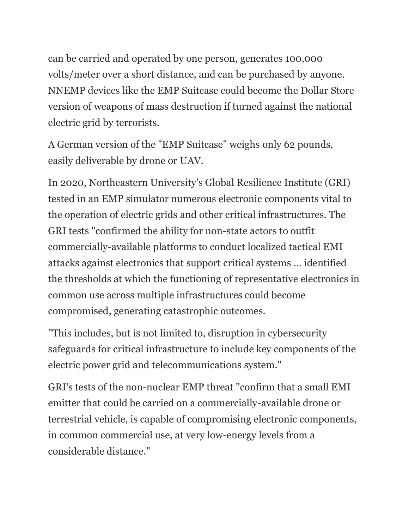can be carried and operated by one person, generates 100,000 volts/meter over a short distance, and can be purchased by anyone. NNEMP devices like the EMP Suitcase could become the Dollar Store version of weapons of mass destruction if turned against the national electric grid by terrorists.

A German version of the "EMP Suitcase" weighs only 62 pounds, easily deliverable by drone or UAV.

In 2020, Northeastern University's Global Resilience Institute (GRI) tested in an EMP simulator numerous electronic components vital to the operation of electric grids and other critical infrastructures. The GRI tests "confirmed the ability for non-state actors to outfit commercially-available platforms to conduct localized tactical EMI attacks against electronics that support critical systems ... identified the thresholds at which the functioning of representative electronics in common use across multiple infrastructures could become compromised, generating catastrophic outcomes.

"This includes, but is not limited to, disruption in cybersecurity safeguards for critical infrastructure to include key components of the electric power grid and telecommunications system."

GRI's tests of the non-nuclear EMP threat "confirm that a small EMI emitter that could be carried on a commercially-available drone or terrestrial vehicle, is capable of compromising electronic components, in common commercial use, at very low-energy levels from a considerable distance."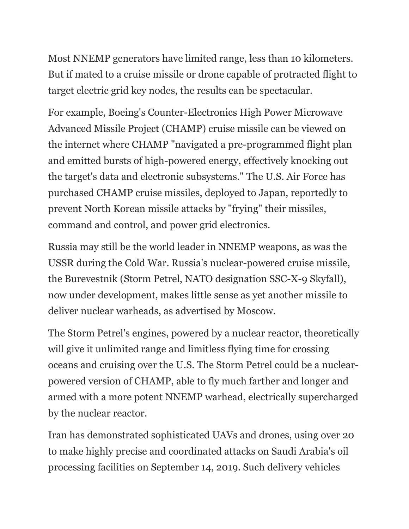Most NNEMP generators have limited range, less than 10 kilometers. But if mated to a cruise missile or drone capable of protracted flight to target electric grid key nodes, the results can be spectacular.

For example, Boeing's Counter-Electronics High Power Microwave Advanced Missile Project (CHAMP) cruise missile can be viewed on the internet where CHAMP "navigated a pre-programmed flight plan and emitted bursts of high-powered energy, effectively knocking out the target's data and electronic subsystems." The U.S. Air Force has purchased CHAMP cruise missiles, deployed to Japan, reportedly to prevent North Korean missile attacks by "frying" their missiles, command and control, and power grid electronics.

Russia may still be the world leader in NNEMP weapons, as was the USSR during the Cold War. Russia's nuclear-powered cruise missile, the Burevestnik (Storm Petrel, NATO designation SSC-X-9 Skyfall), now under development, makes little sense as yet another missile to deliver nuclear warheads, as advertised by Moscow.

The Storm Petrel's engines, powered by a nuclear reactor, theoretically will give it unlimited range and limitless flying time for crossing oceans and cruising over the U.S. The Storm Petrel could be a nuclearpowered version of CHAMP, able to fly much farther and longer and armed with a more potent NNEMP warhead, electrically supercharged by the nuclear reactor.

Iran has demonstrated sophisticated UAVs and drones, using over 20 to make highly precise and coordinated attacks on Saudi Arabia's oil processing facilities on September 14, 2019. Such delivery vehicles